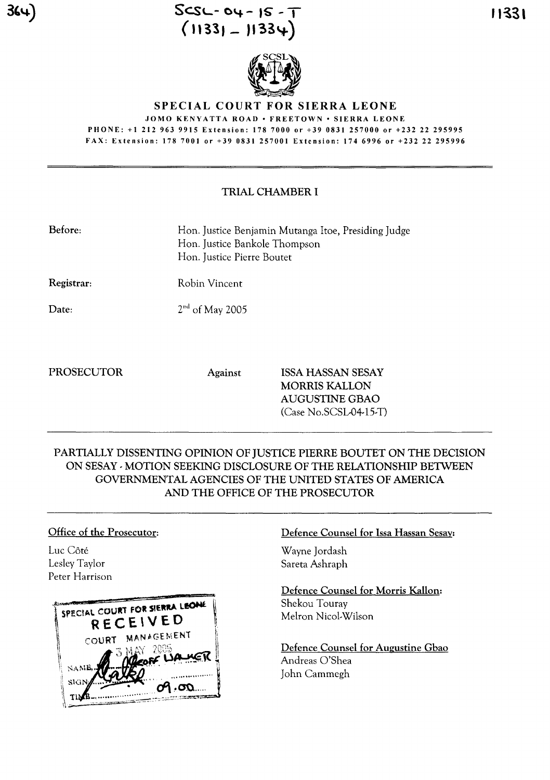



JOMO KENYATTA ROAD· FREETOWN· SIERRA LEONE PHONE: +1 212 963 9915 Extension: 178 7000 or +39 0831257000 or +232 22 295995 FAX: Extension: 178 7001 or +39 0831257001 Extension: 174 6996 or +232 22 295996

# TRIAL CHAMBER I

| Hon. Justice Benjamin Mutanga Itoe, Presiding Judge<br>Hon. Justice Bankole Thompson<br>Hon. Justice Pierre Boutet |
|--------------------------------------------------------------------------------------------------------------------|
| Robin Vincent                                                                                                      |
| $2nd$ of May 2005                                                                                                  |
|                                                                                                                    |

PROSECUTOR Against ISSA HASSAN SESAY MORRIS KALLON AUGUSTINE GBAO (Case No.sCSL-04-15-T)

# PARTIALLY DISSENTING OPINION OF JUSTICE PIERRE BOUTET ON THE DECISION ON SESAY -MOTION SEEKING DISCLOSURE OF THE RELATIONSHIP BETWEEN GOVERNMENTAL AGENCIES OF THE UNITED STATES OF AMERICA AND THE OFFICE OF THE PROSECUTOR

# Office of the Prosecutor:

Luc Côté Lesley Taylor Peter Harrison



### Defence Counsel for Issa Hassan Sesay:

Wayne Jordash Sareta Ashraph

Defence Counsel for Morris KaHon: Shekou Touray Melron Nicol-Wilson

Defence Counsel for Augustine Gbao Andreas O'Shea John Cammegh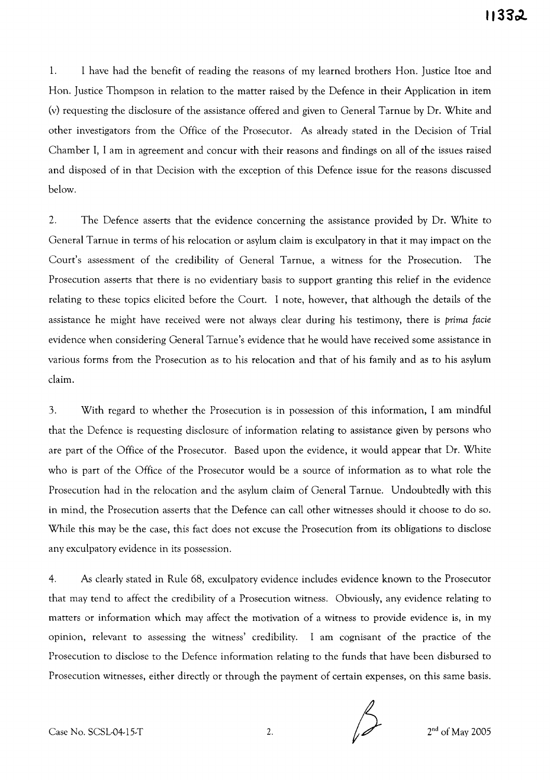1. I have had the benefit of reading the reasons of my learned brothers Hon. Justice ltoe and Hon. Justice Thompson in relation to the matter raised by the Defence in their Application in item (v) requesting the disclosure of the assistance offered and given to General Tarnue by Dr. White and other investigators from the Office of the Prosecutor. As already stated in the Decision of Trial Chamber I, I am in agreement and concur with their reasons and findings on all of the issues raised and disposed of in that Decision with the exception of this Defence issue for the reasons discussed below.

2. The Defence asserts that the evidence concerning the assistance provided by Dr. White to General Tarnue in terms of his relocation or asylum claim is exculpatory in that it may impact on the Court's assessment of the credibility of General Tarnue, a witness for the Prosecution. The Prosecution asserts that there is no evidentiary basis to support granting this relief in the evidence relating to these topics elicited before the Court. I note, however, that although the details of the assistance he might have received were not always clear during his testimony, there is *prima facie* evidence when considering General Tarnue's evidence that he would have received some assistance in various forms from the Prosecution as to his relocation and that of his family and as to his asylum claim.

3. With regard to whether the Prosecution is in possession of this information, I am mindful that the Defence is requesting disclosure of information relating to assistance given by persons who are part of the Office of the Prosecutor. Based upon the evidence, it would appear that Dr. White who is part of the Office of the Prosecutor would be a source of information as to what role the Prosecution had in the relocation and the asylum claim of General Tarnue. Undoubtedly with this in mind, the Prosecution asserts that the Defence can call other witnesses should it choose to do so. While this may be the case, this fact does not excuse the Prosecution from its obligations to disclose any exculpatory evidence in its possession.

4. As clearly stated in Rule 68, exculpatory evidence includes evidence known to the Prosecutor that may tend to affect the credibility of a Prosecution witness. Obviously, any evidence relating to matters or information which may affect the motivation of a witness to provide evidence is, in my opinion, relevant to assessing the witness' credibility. I am cognisant of the practice of the Prosecution to disclose to the Defence information relating to the funds that have been disbursed to Prosecution witnesses, either directly or through the payment of certain expenses, on this same basis.

Case No. SCSL-04-15-T 2. 2nd of May 2005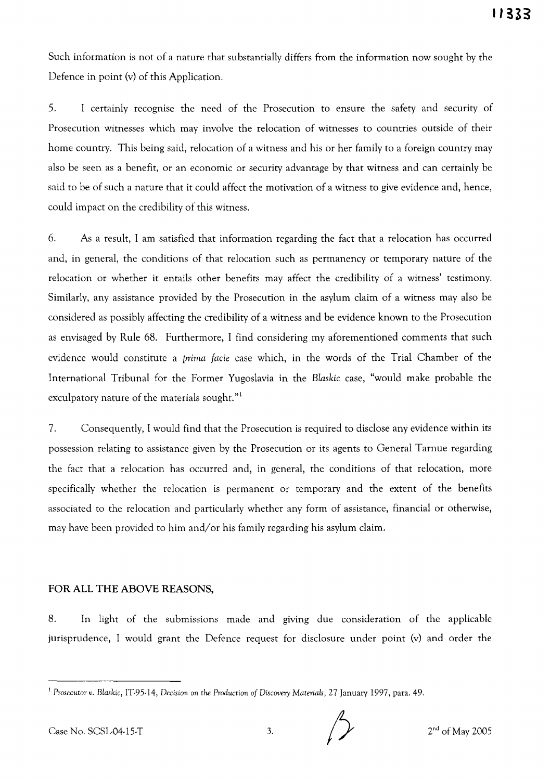Such information is not of a nature that substantially differs from the information now sought by the Defence in point (v) of this Application.

5. I certainly recognise the need of the Prosecution to ensure the safety and security of Prosecution witnesses which may involve the relocation of witnesses to countries outside of their home country. This being said, relocation of a witness and his or her family to a foreign country may also be seen as a benefit, or an economic or security advantage by that witness and can certainly be said to be of such a nature that it could affect the motivation of a witness to give evidence and, hence, could impact on the credibility of this witness.

6. As a result, I am satisfied that information regarding the fact that a relocation has occurred and, in general, the conditions of that relocation such as permanency or temporary nature of the relocation or whether it entails other benefits may affect the credibility of a witness' testimony. Similarly, any assistance provided by the Prosecution in the asylum claim of a witness may also be considered as possibly affecting the credibility of a witness and be evidence known to the Prosecution as envisaged by Rule 68. Furthermore, I find considering my aforementioned comments that such evidence would constitute a *prima facie* case which, in the words of the Trial Chamber of the International Tribunal for the Former Yugoslavia in the *Blaskic* case, "would make probable the exculpatory nature of the materials sought." $1$ 

7. Consequently, I would find that the Prosecution is required to disclose any evidence within its possession relating to assistance given by the Prosecution or its agents to General Tarnue regarding the fact that a relocation has occurred and, in general, the conditions of that relocation, more specifically whether the relocation is permanent or temporary and the extent of the benefits associated to the relocation and particularly whether any form of assistance, financial or otherwise, may have been provided to him and/or his family regarding his asylum claim.

# **FOR ALL THE ABOVE** REASONS,

8. In light of the submissions made and giving due consideration of the applicable jurisprudence, I would grant the Defence request for disclosure under point (v) and order the

<sup>1</sup> *Prosecutor v. Blaskic,* IT-95-14, Decision on *the Production of Discovery Materials,* 27 January 1997, para. 49.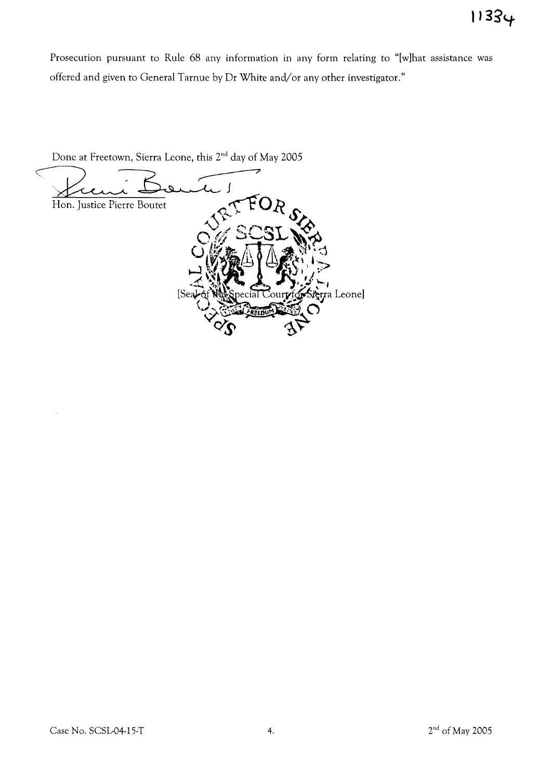Prosecution pursuant to Rule 68 any information in any form relating to "[wlhat assistance was offered and given to General Tarnue by Dr White and/or any other investigator."

Done at Freetown, Sierra Leone, this 2<sup>nd</sup> day of May 2005  $\leq$  $\overline{\mathcal{L}}$ Hon. Justice Pierre Boutet erra Leone] **ZED** 

ò,